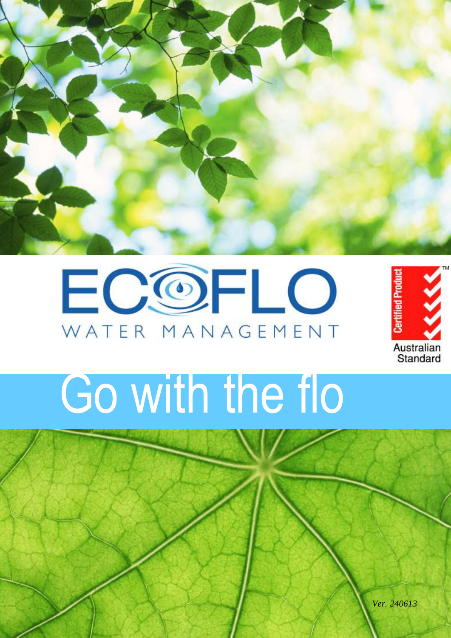





# Go with the flo

*Ver. 240613*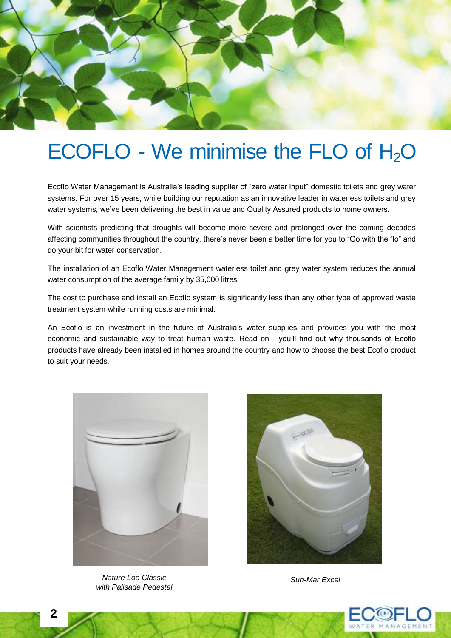

### ECOFLO - We minimise the FLO of H<sub>2</sub>O

Ecoflo Water Management is Australia's leading supplier of "zero water input" domestic toilets and grey water systems. For over 15 years, while building our reputation as an innovative leader in waterless toilets and grey water systems, we've been delivering the best in value and Quality Assured products to home owners.

With scientists predicting that droughts will become more severe and prolonged over the coming decades affecting communities throughout the country, there's never been a better time for you to "Go with the flo" and do your bit for water conservation.

The installation of an Ecoflo Water Management waterless toilet and grey water system reduces the annual water consumption of the average family by 35,000 litres.

The cost to purchase and install an Ecoflo system is significantly less than any other type of approved waste treatment system while running costs are minimal.

An Ecoflo is an investment in the future of Australia's water supplies and provides you with the most economic and sustainable way to treat human waste. Read on - you'll find out why thousands of Ecoflo products have already been installed in homes around the country and how to choose the best Ecoflo product to suit your needs.



**Nature Loo Classic** Sun-Mar Excel *with Palisade Pedestal*



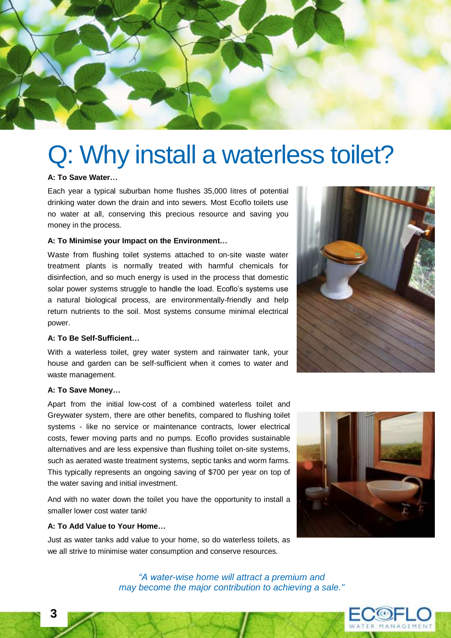

### Q: Why install a waterless toilet?

#### **A: To Save Water…**

Each year a typical suburban home flushes 35,000 litres of potential drinking water down the drain and into sewers. Most Ecoflo toilets use no water at all, conserving this precious resource and saving you money in the process.

#### **A: To Minimise your Impact on the Environment…**

Waste from flushing toilet systems attached to on-site waste water treatment plants is normally treated with harmful chemicals for disinfection, and so much energy is used in the process that domestic solar power systems struggle to handle the load. Ecoflo's systems use a natural biological process, are environmentally-friendly and help return nutrients to the soil. Most systems consume minimal electrical power.

#### **A: To Be Self-Sufficient…**

With a waterless toilet, grey water system and rainwater tank, your house and garden can be self-sufficient when it comes to water and waste management.

#### **A: To Save Money…**

Apart from the initial low-cost of a combined waterless toilet and Greywater system, there are other benefits, compared to flushing toilet systems - like no service or maintenance contracts, lower electrical costs, fewer moving parts and no pumps. Ecoflo provides sustainable alternatives and are less expensive than flushing toilet on-site systems, such as aerated waste treatment systems, septic tanks and worm farms. This typically represents an ongoing saving of \$700 per year on top of the water saving and initial investment.

And with no water down the toilet you have the opportunity to install a smaller lower cost water tank!

#### **A: To Add Value to Your Home…**

Just as water tanks add value to your home, so do waterless toilets, as we all strive to minimise water consumption and conserve resources.





*"A water-wise home will attract a premium and may become the major contribution to achieving a sale."* 

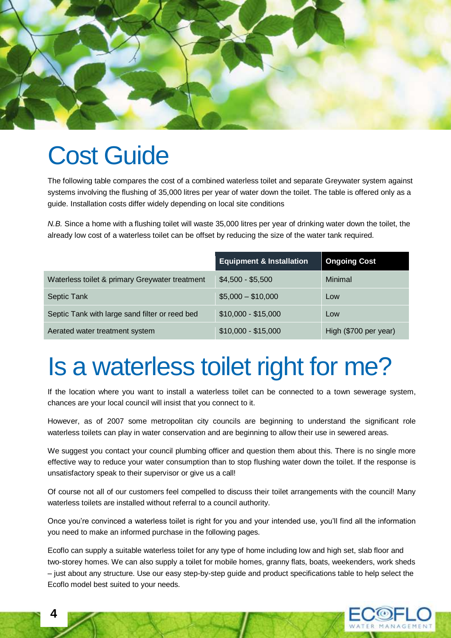

### Cost Guide

The following table compares the cost of a combined waterless toilet and separate Greywater system against systems involving the flushing of 35,000 litres per year of water down the toilet. The table is offered only as a guide. Installation costs differ widely depending on local site conditions

*N.B.* Since a home with a flushing toilet will waste 35,000 litres per year of drinking water down the toilet, the already low cost of a waterless toilet can be offset by reducing the size of the water tank required.

|                                                | <b>Equipment &amp; Installation</b> | <b>Ongoing Cost</b>   |
|------------------------------------------------|-------------------------------------|-----------------------|
| Waterless toilet & primary Greywater treatment | $$4,500 - $5,500$                   | Minimal               |
| Septic Tank                                    | $$5,000 - $10,000$                  | Low                   |
| Septic Tank with large sand filter or reed bed | $$10,000 - $15,000$                 | Low                   |
| Aerated water treatment system                 | $$10,000 - $15,000$                 | High (\$700 per year) |

# Is a waterless toilet right for me?

If the location where you want to install a waterless toilet can be connected to a town sewerage system, chances are your local council will insist that you connect to it.

However, as of 2007 some metropolitan city councils are beginning to understand the significant role waterless toilets can play in water conservation and are beginning to allow their use in sewered areas.

We suggest you contact your council plumbing officer and question them about this. There is no single more effective way to reduce your water consumption than to stop flushing water down the toilet. If the response is unsatisfactory speak to their supervisor or give us a call!

Of course not all of our customers feel compelled to discuss their toilet arrangements with the council! Many waterless toilets are installed without referral to a council authority.

Once you're convinced a waterless toilet is right for you and your intended use, you'll find all the information you need to make an informed purchase in the following pages.

Ecoflo can supply a suitable waterless toilet for any type of home including low and high set, slab floor and two-storey homes. We can also supply a toilet for mobile homes, granny flats, boats, weekenders, work sheds – just about any structure. Use our easy step-by-step guide and product specifications table to help select the Ecoflo model best suited to your needs.

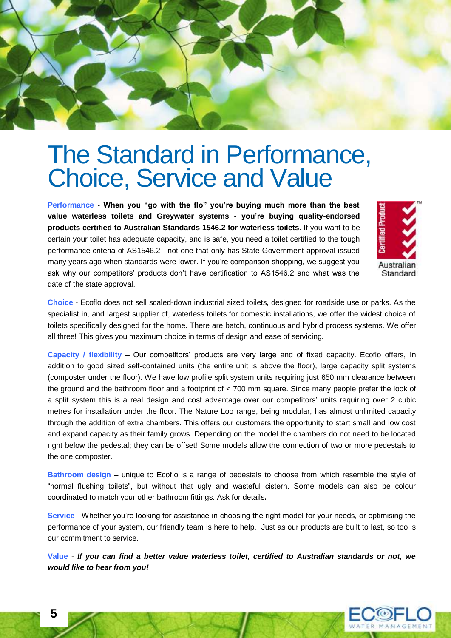

### The Standard in Performance, Choice, Service and Value

**Performance** - **When you "go with the flo" you're buying much more than the best value waterless toilets and Greywater systems - you're buying quality-endorsed products certified to Australian Standards 1546.2 for waterless toilets**. If you want to be certain your toilet has adequate capacity, and is safe, you need a toilet certified to the tough performance criteria of AS1546.2 - not one that only has State Government approval issued many years ago when standards were lower. If you're comparison shopping, we suggest you ask why our competitors' products don't have certification to AS1546.2 and what was the date of the state approval.



**Choice** - Ecoflo does not sell scaled-down industrial sized toilets, designed for roadside use or parks. As the specialist in, and largest supplier of, waterless toilets for domestic installations, we offer the widest choice of toilets specifically designed for the home. There are batch, continuous and hybrid process systems. We offer all three! This gives you maximum choice in terms of design and ease of servicing.

**Capacity / flexibility** – Our competitors' products are very large and of fixed capacity. Ecoflo offers, In addition to good sized self-contained units (the entire unit is above the floor), large capacity split systems (composter under the floor). We have low profile split system units requiring just 650 mm clearance between the ground and the bathroom floor and a footprint of < 700 mm square. Since many people prefer the look of a split system this is a real design and cost advantage over our competitors' units requiring over 2 cubic metres for installation under the floor. The Nature Loo range, being modular, has almost unlimited capacity through the addition of extra chambers. This offers our customers the opportunity to start small and low cost and expand capacity as their family grows. Depending on the model the chambers do not need to be located right below the pedestal; they can be offset! Some models allow the connection of two or more pedestals to the one composter.

**Bathroom design** – unique to Ecoflo is a range of pedestals to choose from which resemble the style of "normal flushing toilets", but without that ugly and wasteful cistern. Some models can also be colour coordinated to match your other bathroom fittings. Ask for details**.**

**Service** - Whether you're looking for assistance in choosing the right model for your needs, or optimising the performance of your system, our friendly team is here to help. Just as our products are built to last, so too is our commitment to service.

**Value** - *If you can find a better value waterless toilet, certified to Australian standards or not, we would like to hear from you!*

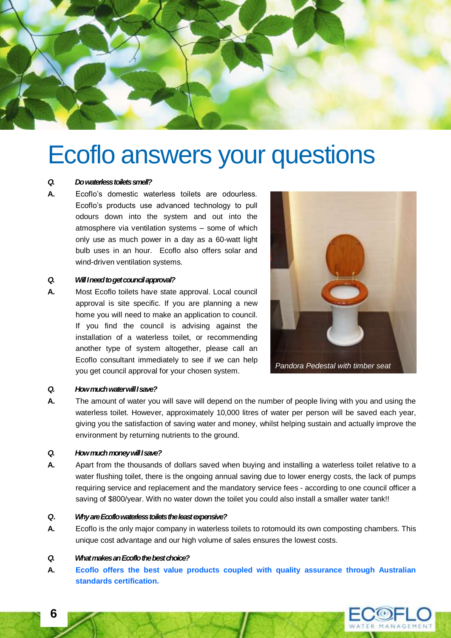

### Ecoflo answers your questions

#### *Q. Do waterless toilets smell?*

**A.** Ecoflo's domestic waterless toilets are odourless. Ecoflo's products use advanced technology to pull odours down into the system and out into the atmosphere via ventilation systems – some of which only use as much power in a day as a 60-watt light bulb uses in an hour. Ecoflo also offers solar and wind-driven ventilation systems.

#### *Q. Will I need to get council approval?*

**A.** Most Ecoflo toilets have state approval. Local council approval is site specific. If you are planning a new home you will need to make an application to council. If you find the council is advising against the installation of a waterless toilet, or recommending another type of system altogether, please call an Ecoflo consultant immediately to see if we can help you get council approval for your chosen system.



#### *Q. How much water will I save?*

**A.** The amount of water you will save will depend on the number of people living with you and using the waterless toilet. However, approximately 10,000 litres of water per person will be saved each year, giving you the satisfaction of saving water and money, whilst helping sustain and actually improve the environment by returning nutrients to the ground.

#### *Q. How much money will I save?*

**A.** Apart from the thousands of dollars saved when buying and installing a waterless toilet relative to a water flushing toilet, there is the ongoing annual saving due to lower energy costs, the lack of pumps requiring service and replacement and the mandatory service fees - according to one council officer a saving of \$800/year. With no water down the toilet you could also install a smaller water tank!!

#### *Q. Why are Ecoflo waterless toilets the least expensive?*

**A.** Ecoflo is the only major company in waterless toilets to rotomould its own composting chambers. This unique cost advantage and our high volume of sales ensures the lowest costs.

#### *Q. What makes an Ecoflo the best choice?*

**A. Ecoflo offers the best value products coupled with quality assurance through Australian standards certification.**



**6**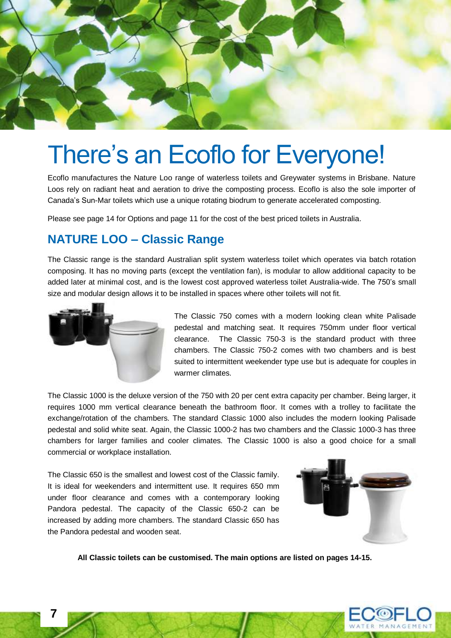

### There's an Ecoflo for Everyone!

Ecoflo manufactures the Nature Loo range of waterless toilets and Greywater systems in Brisbane. Nature Loos rely on radiant heat and aeration to drive the composting process. Ecoflo is also the sole importer of Canada's Sun-Mar toilets which use a unique rotating biodrum to generate accelerated composting.

Please see page 14 for Options and page 11 for the cost of the best priced toilets in Australia.

### **NATURE LOO – Classic Range**

The Classic range is the standard Australian split system waterless toilet which operates via batch rotation composing. It has no moving parts (except the ventilation fan), is modular to allow additional capacity to be added later at minimal cost, and is the lowest cost approved waterless toilet Australia-wide. The 750's small size and modular design allows it to be installed in spaces where other toilets will not fit.



The Classic 750 comes with a modern looking clean white Palisade pedestal and matching seat. It requires 750mm under floor vertical clearance. The Classic 750-3 is the standard product with three chambers. The Classic 750-2 comes with two chambers and is best suited to intermittent weekender type use but is adequate for couples in warmer climates.

The Classic 1000 is the deluxe version of the 750 with 20 per cent extra capacity per chamber. Being larger, it requires 1000 mm vertical clearance beneath the bathroom floor. It comes with a trolley to facilitate the exchange/rotation of the chambers. The standard Classic 1000 also includes the modern looking Palisade pedestal and solid white seat. Again, the Classic 1000-2 has two chambers and the Classic 1000-3 has three chambers for larger families and cooler climates. The Classic 1000 is also a good choice for a small commercial or workplace installation.

The Classic 650 is the smallest and lowest cost of the Classic family. It is ideal for weekenders and intermittent use. It requires 650 mm under floor clearance and comes with a contemporary looking Pandora pedestal. The capacity of the Classic 650-2 can be increased by adding more chambers. The standard Classic 650 has the Pandora pedestal and wooden seat.



**All Classic toilets can be customised. The main options are listed on pages 14-15.**

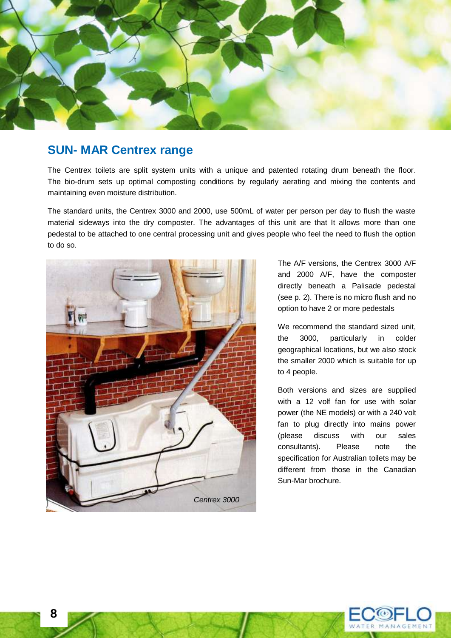

### **SUN- MAR Centrex range**

The Centrex toilets are split system units with a unique and patented rotating drum beneath the floor. The bio-drum sets up optimal composting conditions by regularly aerating and mixing the contents and maintaining even moisture distribution.

The standard units, the Centrex 3000 and 2000, use 500mL of water per person per day to flush the waste material sideways into the dry composter. The advantages of this unit are that It allows more than one pedestal to be attached to one central processing unit and gives people who feel the need to flush the option to do so.



The A/F versions, the Centrex 3000 A/F and 2000 A/F, have the composter directly beneath a Palisade pedestal (see p. 2). There is no micro flush and no option to have 2 or more pedestals

We recommend the standard sized unit, the 3000, particularly in colder geographical locations, but we also stock the smaller 2000 which is suitable for up to 4 people.

Both versions and sizes are supplied with a 12 volf fan for use with solar power (the NE models) or with a 240 volt fan to plug directly into mains power (please discuss with our sales consultants). Please note the specification for Australian toilets may be different from those in the Canadian Sun-Mar brochure.

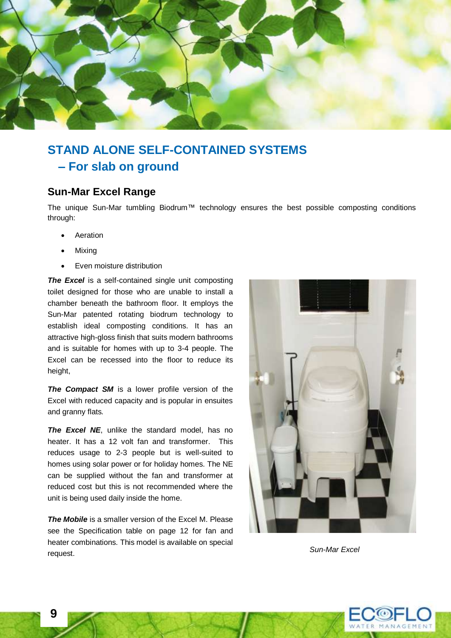

### **STAND ALONE SELF-CONTAINED SYSTEMS – For slab on ground**

#### **Sun-Mar Excel Range**

The unique Sun-Mar tumbling Biodrum™ technology ensures the best possible composting conditions through:

- Aeration
- Mixing
- Even moisture distribution

**The Excel** is a self-contained single unit composting toilet designed for those who are unable to install a chamber beneath the bathroom floor. It employs the Sun-Mar patented rotating biodrum technology to establish ideal composting conditions. It has an attractive high-gloss finish that suits modern bathrooms and is suitable for homes with up to 3-4 people. The Excel can be recessed into the floor to reduce its height,

*The Compact SM* is a lower profile version of the Excel with reduced capacity and is popular in ensuites and granny flats*.*

*The Excel NE*, unlike the standard model, has no heater. It has a 12 volt fan and transformer. This reduces usage to 2-3 people but is well-suited to homes using solar power or for holiday homes. The NE can be supplied without the fan and transformer at reduced cost but this is not recommended where the unit is being used daily inside the home.

*The Mobile* is a smaller version of the Excel M. Please see the Specification table on page 12 for fan and heater combinations. This model is available on special request. *Sun-Mar Excel*



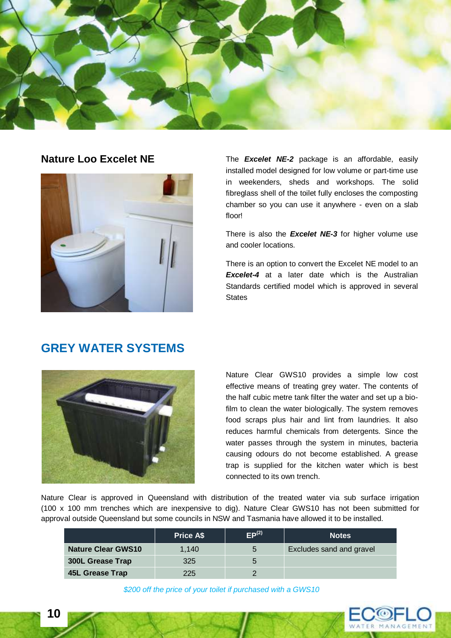



**Nature Loo Excelet NE** The *Excelet NE-2* package is an affordable, easily installed model designed for low volume or part-time use in weekenders, sheds and workshops. The solid fibreglass shell of the toilet fully encloses the composting chamber so you can use it anywhere - even on a slab floor!

> There is also the *Excelet NE-3* for higher volume use and cooler locations.

> There is an option to convert the Excelet NE model to an *Excelet-4* at a later date which is the Australian Standards certified model which is approved in several **States**

### **GREY WATER SYSTEMS**



Nature Clear GWS10 provides a simple low cost effective means of treating grey water. The contents of the half cubic metre tank filter the water and set up a biofilm to clean the water biologically. The system removes food scraps plus hair and lint from laundries. It also reduces harmful chemicals from detergents. Since the water passes through the system in minutes, bacteria causing odours do not become established. A grease trap is supplied for the kitchen water which is best connected to its own trench.

Nature Clear is approved in Queensland with distribution of the treated water via sub surface irrigation (100 x 100 mm trenches which are inexpensive to dig). Nature Clear GWS10 has not been submitted for approval outside Queensland but some councils in NSW and Tasmania have allowed it to be installed.

|                           | <b>Price A\$</b> | EP <sup>(2)</sup> | <b>Notes</b>                    |
|---------------------------|------------------|-------------------|---------------------------------|
| <b>Nature Clear GWS10</b> | 1.140            | $\mathbf b$       | <b>Excludes sand and gravel</b> |
| <b>300L Grease Trap</b>   | 325              |                   |                                 |
| 45L Grease Trap           | 225              |                   |                                 |

*\$200 off the price of your toilet if purchased with a GWS10*

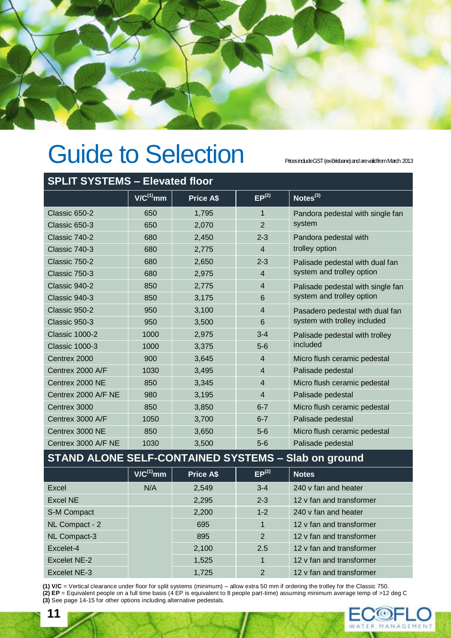

# Guide to Selection Prices inducte GST (ex-Brisbane) and are valid from March 2013

| <b>SPLIT SYSTEMS - Elevated floor</b> |                |                  |                   |                                   |
|---------------------------------------|----------------|------------------|-------------------|-----------------------------------|
|                                       | $V/C^{(1)}$ mm | <b>Price A\$</b> | EP <sup>(2)</sup> | Notes <sup>(3)</sup>              |
| Classic 650-2                         | 650            | 1,795            | $\mathbf{1}$      | Pandora pedestal with single fan  |
| Classic 650-3                         | 650            | 2,070            | $\overline{2}$    | system                            |
| Classic 740-2                         | 680            | 2,450            | $2 - 3$           | Pandora pedestal with             |
| Classic 740-3                         | 680            | 2,775            | $\overline{4}$    | trolley option                    |
| Classic 750-2                         | 680            | 2,650            | $2 - 3$           | Palisade pedestal with dual fan   |
| Classic 750-3                         | 680            | 2,975            | $\overline{4}$    | system and trolley option         |
| Classic 940-2                         | 850            | 2,775            | $\overline{4}$    | Palisade pedestal with single fan |
| Classic 940-3                         | 850            | 3,175            | 6                 | system and trolley option         |
| Classic 950-2                         | 950            | 3,100            | $\overline{4}$    | Pasadero pedestal with dual fan   |
| Classic 950-3                         | 950            | 3,500            | 6                 | system with trolley included      |
| <b>Classic 1000-2</b>                 | 1000           | 2,975            | $3 - 4$           | Palisade pedestal with trolley    |
| <b>Classic 1000-3</b>                 | 1000           | 3,375            | $5-6$             | included                          |
| Centrex 2000                          | 900            | 3,645            | $\overline{4}$    | Micro flush ceramic pedestal      |
| Centrex 2000 A/F                      | 1030           | 3,495            | $\overline{4}$    | Palisade pedestal                 |
| Centrex 2000 NE                       | 850            | 3,345            | $\overline{4}$    | Micro flush ceramic pedestal      |
| Centrex 2000 A/F NE                   | 980            | 3,195            | $\overline{4}$    | Palisade pedestal                 |
| Centrex 3000                          | 850            | 3,850            | $6 - 7$           | Micro flush ceramic pedestal      |
| Centrex 3000 A/F                      | 1050           | 3,700            | $6 - 7$           | Palisade pedestal                 |
| Centrex 3000 NE                       | 850            | 3,650            | $5-6$             | Micro flush ceramic pedestal      |
| Centrex 3000 A/F NE                   | 1030           | 3,500            | $5-6$             | Palisade pedestal                 |

### **STAND ALONE SELF-CONTAINED SYSTEMS – Slab on ground**

|                | $V/C^{(1)}$ mm | <b>Price A\$</b> | EP <sup>(2)</sup> | <b>Notes</b>             |
|----------------|----------------|------------------|-------------------|--------------------------|
| Excel          | N/A            | 2,549            | $3 - 4$           | 240 v fan and heater     |
| Excel NE       |                | 2,295            | $2 - 3$           | 12 v fan and transformer |
| S-M Compact    |                | 2,200            | $1 - 2$           | 240 v fan and heater     |
| NL Compact - 2 |                | 695              | $\mathbf 1$       | 12 v fan and transformer |
| NL Compact-3   |                | 895              | 2                 | 12 v fan and transformer |
| Excelet-4      |                | 2,100            | 2.5               | 12 v fan and transformer |
| Excelet NE-2   |                | 1,525            | 1                 | 12 v fan and transformer |
| Excelet NE-3   |                | 1,725            | 2                 | 12 v fan and transformer |

**(1) V/C** = Vertical clearance under floor for split systems (minimum) – allow extra 50 mm if ordering the trolley for the Classic 750. **(2) EP** = Equivalent people on a full time basis (4 EP is equivalent to 8 people part-time) assuming minimum average temp of >12 deg C **(3)** See page 14-15 for other options including alternative pedestals.

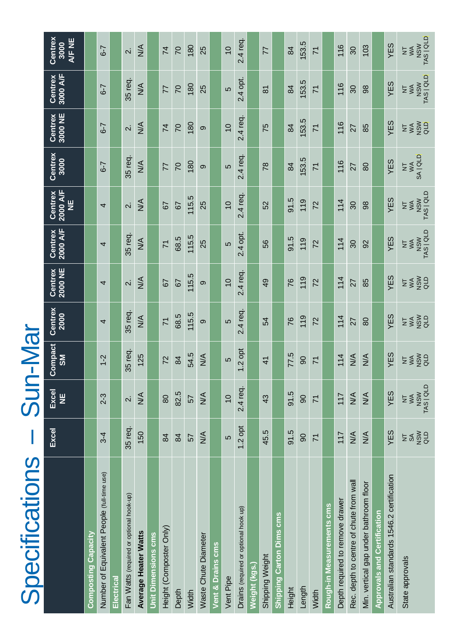| Specifications                              |                                                                  | <b>NIDC</b>                   | -Mai                                                    |                 |                          |                              |                                                        |                       |                         |                                                        |                                                        |
|---------------------------------------------|------------------------------------------------------------------|-------------------------------|---------------------------------------------------------|-----------------|--------------------------|------------------------------|--------------------------------------------------------|-----------------------|-------------------------|--------------------------------------------------------|--------------------------------------------------------|
|                                             | Excel                                                            | Excel<br>Ψ                    | Compact<br>$\overline{\text{MS}}$                       | Centrex<br>2000 | Centrex<br>2000 NE       | Centrex<br>2000 A/F          | 2000 A/F<br>Centrex<br>빌                               | Centrex<br>3000       | Centrex<br>3000 NE      | Centrex<br>3000 A/F                                    | Centrex<br>A/F NE<br>3000                              |
| Composting Capacity                         |                                                                  |                               |                                                         |                 |                          |                              |                                                        |                       |                         |                                                        |                                                        |
| Number of Equivalent People (full-time use) | $3-4$                                                            | $2-3$                         | $1 - 2$                                                 | 4               | 4                        | 4                            | 4                                                      | $6 - 7$               | $6 - 7$                 | $6-7$                                                  | $6 - 7$                                                |
| <u> Electrical</u>                          |                                                                  |                               |                                                         |                 |                          |                              |                                                        |                       |                         |                                                        |                                                        |
| Fan Watts (required or optional hook-up)    | 35 req.                                                          | $\overline{\mathcal{N}}$      | 35 req.                                                 | 35 req.         | $\overline{\mathcal{N}}$ | 35 req.                      | $\overline{\mathcal{N}}$                               | 35 req.               | $\overline{\mathsf{N}}$ | 35 req.                                                | $\overline{\mathsf{N}}$                                |
| <b>Average Heater Watts</b>                 | 150                                                              | $\leq$                        | 125                                                     | $\frac{4}{2}$   | $\leq$                   | $\frac{4}{2}$                | $\frac{4}{2}$                                          | $\frac{4}{2}$         | $\frac{4}{2}$           | $\frac{4}{2}$                                          | $\sum_{i=1}^{n}$                                       |
| <b>Jnit Dimensions cms</b>                  |                                                                  |                               |                                                         |                 |                          |                              |                                                        |                       |                         |                                                        |                                                        |
| Height (Composter Only)                     | 84                                                               | 80                            | 72                                                      | $\overline{7}$  | 57                       | $\overline{7}$               | 57                                                     | 77                    | $\overline{7}$          | 77                                                     | 74                                                     |
| Depth                                       | $\frac{8}{4}$                                                    | 82.5                          | 84                                                      | 68.5            | 57                       | 68.5                         | 29                                                     | $\overline{C}$        | $\overline{C}$          | $\overline{C}$                                         | $\overline{C}$                                         |
| Width                                       | 57                                                               | 57                            | 54.5                                                    | 115.5           | 115.5                    | 115.5                        | 115.5                                                  | 180                   | 180                     | 180                                                    | 180                                                    |
| <b>Waste Chute Diameter</b>                 | $\leq$                                                           | $\stackrel{\triangle}{\geq}$  | $\frac{4}{\sqrt{2}}$                                    | ၜ               | ၜ                        | 25                           | 25                                                     | ၜ                     | ၜ                       | 25                                                     | 25                                                     |
| ent & Drains cms                            |                                                                  |                               |                                                         |                 |                          |                              |                                                        |                       |                         |                                                        |                                                        |
| Vent Pipe                                   | 5                                                                | $\overline{0}$                | 5                                                       | 40              | $\overline{C}$           | 5                            | $\overline{0}$                                         | 5                     | $\overline{C}$          | 5                                                      | $\overline{0}$                                         |
| Drains (required or optional hook up)       | $1.2$ opt                                                        | 2.4 req.                      | $.2$ opt<br>$\overline{\phantom{0}}$                    | 2.4 req.        | 2.4 req.                 | 2.4 opt.                     | 2.4 req.                                               | 2.4 req.              | 2.4 req.                | 2.4 opt.                                               | 2.4 req.                                               |
| <b>Neight (kgs.</b>                         |                                                                  |                               |                                                         |                 |                          |                              |                                                        |                       |                         |                                                        |                                                        |
| Shipping Weight                             | 45.5                                                             | 43                            | $\overline{4}$                                          | 54              | $\overline{6}$           | 56                           | 52                                                     | $\overline{78}$       | 75                      | $\overline{8}$                                         | 77                                                     |
| <b>Shipping Carton Dims cms</b>             |                                                                  |                               |                                                         |                 |                          |                              |                                                        |                       |                         |                                                        |                                                        |
| Height                                      | 91.5                                                             | 91.5                          | 77.5                                                    | 76              | 76                       | 91.5                         | 91.5                                                   | 84                    | $\frac{8}{4}$           | 84                                                     | 84                                                     |
| Length                                      | 80                                                               | 90                            | 8                                                       | 119             | 119                      | 119                          | 119                                                    | 153.5                 | 53.5                    | 153.5                                                  | 153.5                                                  |
| Width                                       | $\overline{7}$                                                   | $\overline{7}$                | $\overline{7}$                                          | 72              | 72                       | 72                           | 72                                                     | $\overline{7}$        | $\overline{7}$          | $\overline{7}$                                         | $\overline{7}$                                         |
| Rough-in Measurements cms                   |                                                                  |                               |                                                         |                 |                          |                              |                                                        |                       |                         |                                                        |                                                        |
| Depth required to remove drawer             | 117                                                              | 117                           | 114                                                     | 114             | 114                      | 114                          | 114                                                    | 116                   | 116                     | 116                                                    | 116                                                    |
| Rec. depth to centre of chute from wall     | $\leq$                                                           | $\frac{4}{2}$                 | $\frac{4}{2}$                                           | 27              | 27                       | $\infty$                     | 80                                                     | 27                    | 27                      | $\infty$                                               | 30                                                     |
| Min. vertical gap under bathroom floor      | $\leq$                                                           | $\frac{4}{\sqrt{2}}$          | $\frac{4}{\sqrt{2}}$                                    | 80              | 85                       | 92                           | 88                                                     | 80                    | 85                      | 86                                                     | 103                                                    |
| <b>Approvals and Certification</b>          |                                                                  |                               |                                                         |                 |                          |                              |                                                        |                       |                         |                                                        |                                                        |
| Australian standards 1546.2 certification   | YES                                                              | YES                           | YES                                                     | YES             | YES                      | YES                          | YES                                                    | YES                   | YES                     | YES                                                    | YES                                                    |
| State approvals                             | <b>ASM</b><br>QLD<br>$\mathbb{S}^{\mathbb{C}}$<br>$\overline{z}$ | NSW<br>TAS   QLD<br><b>ZŠ</b> | <b>ASW</b><br>QLD<br>$W^{\mathsf{A}}$<br>$\overline{z}$ | esga<br>Esga    | na<br>Saa                | NSW<br>TAS   QLD<br>$\Sigma$ | NSW<br>TAS   QLD<br>$W^{\mathsf{A}}$<br>$\overline{z}$ | SA   QLD<br><b>NA</b> | <b>ESSER</b>            | NSW<br>TAS   QLD<br>$W^{\mathsf{A}}$<br>$\overline{z}$ | NSW<br>TAS   QLD<br>$W^{\mathsf{A}}$<br>$\overline{z}$ |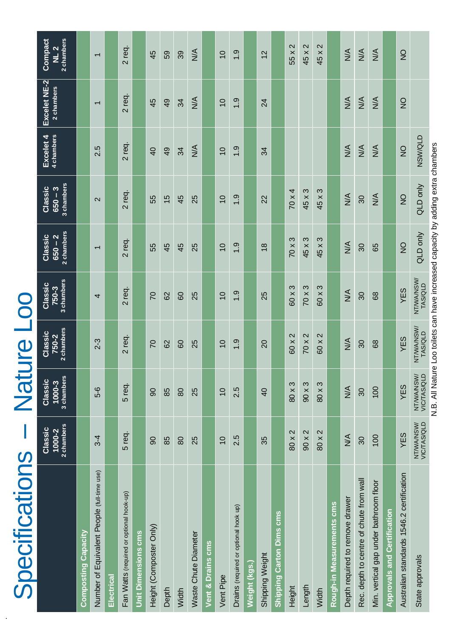| Specifications                              |                                     | Nat                                               | <b>Ure Lo</b>                  |                                |                                    |                                    |                         |                            |                                          |
|---------------------------------------------|-------------------------------------|---------------------------------------------------|--------------------------------|--------------------------------|------------------------------------|------------------------------------|-------------------------|----------------------------|------------------------------------------|
|                                             | 2 chambers<br>Classic<br>$1000 - 2$ | 3 chambers<br>Classic<br>1000-3                   | 2 chambers<br>Classic<br>750-2 | 3 chambers<br>Classic<br>750-3 | 2 chambers<br>Classic<br>$650 - 2$ | 3 chambers<br>Classic<br>$650 - 3$ | 4 chambers<br>Excelet 4 | Excelet NE-2<br>2 chambers | Compact<br>2 chambers<br>NL <sub>2</sub> |
| Composting Capacity                         |                                     |                                                   |                                |                                |                                    |                                    |                         |                            |                                          |
| Number of Equivalent People (full-time use) | $3-4$                               | 5-6                                               | $2 - 3$                        | 4                              | $\overline{\phantom{0}}$           | $\mathbf{\Omega}$                  | 2.5                     | $\overline{\phantom{0}}$   | $\overline{\phantom{0}}$                 |
| Electrical                                  |                                     |                                                   |                                |                                |                                    |                                    |                         |                            |                                          |
| Fan Watts (required or optional hook-up)    | 5 req.                              | 5 req.                                            | 2 req.                         | 2 req.                         | 2 req.                             | 2 req.                             | 2 req.                  | 2 req.                     | 2 req.                                   |
| <b>Unit Dimensions cms</b>                  |                                     |                                                   |                                |                                |                                    |                                    |                         |                            |                                          |
| Height (Composter Only)                     | 8                                   | $\overline{6}$                                    | $\overline{C}$                 | $\overline{C}$                 | 55                                 | 55                                 | $\overline{40}$         | 45                         | 45                                       |
| Depth                                       | 85                                  | 85                                                | 82                             | 8                              | 45                                 | $\frac{5}{1}$                      | $\overline{49}$         | $\overline{9}$             | 59                                       |
| Width                                       | 80                                  | 80                                                | 80                             | 8                              | 45                                 | 45                                 | 34                      | 34                         | 39                                       |
| Waste Chute Diameter                        | 25                                  | 25                                                | 25                             | 25                             | 25                                 | 25                                 | $\frac{1}{2}$           | $\frac{4}{2}$              | $\frac{1}{2}$                            |
| ent & Drains cms                            |                                     |                                                   |                                |                                |                                    |                                    |                         |                            |                                          |
| Vent Pipe                                   | $\overline{0}$                      | $\overline{0}$                                    | $\overline{C}$                 | $\overline{0}$                 | $\overline{0}$                     | $\overline{10}$                    | $\overline{0}$          | $\overline{0}$             | $\overline{10}$                          |
| Drains (required or optional hook up)       | 2.5                                 | 2.5                                               | 1.9                            | $\frac{0}{1}$                  | 1.9                                | 1.9                                | 1.9                     | 1.9                        | 1.9                                      |
| Neight (kgs.)                               |                                     |                                                   |                                |                                |                                    |                                    |                         |                            |                                          |
| Shipping Weight                             | 35                                  | $\overline{4}$                                    | 20                             | 25                             | $\frac{8}{18}$                     | 22                                 | 34                      | 24                         | 12                                       |
| <b>Carton Dims cms</b><br><b>Shipping</b>   |                                     |                                                   |                                |                                |                                    |                                    |                         |                            |                                          |
| Height                                      | 80 x 2                              | $80 \times 3$                                     | 60 x 2                         | 60 x 3                         | S<br>70 x                          | $70 \times 4$                      |                         |                            | $\mathbf{\Omega}$<br>55 x 2              |
| Length                                      | $90 \times 2$                       | $90 \times 3$                                     | 70 x 2                         | $70 \times 3$                  | 45 x 3                             | 45 x 3                             |                         |                            | $\mathbf{\Omega}$<br>45 x                |
| Width                                       | $\mathbf{\Omega}$<br>80 x           | က<br>80x                                          | $\mathbf{\Omega}$<br>60 x      | 60 x 3                         | S<br>45 x                          | 45 x 3                             |                         |                            | 45 x 2                                   |
| Rough-in Measurements cms                   |                                     |                                                   |                                |                                |                                    |                                    |                         |                            |                                          |
| Depth required to remove drawer             | $M\uparrow$                         | $\frac{4}{2}$                                     | $\sum_{i=1}^{n}$               | $\frac{4}{2}$                  | $\frac{4}{\sqrt{2}}$               | $\frac{4}{5}$                      | $\frac{4}{\sqrt{2}}$    | $\frac{4}{2}$              | $\frac{4}{\sqrt{2}}$                     |
| Rec. depth to centre of chute from wall     | 30                                  | 30                                                | 30 <sub>o</sub>                | 30                             | 30 <sub>o</sub>                    | 30                                 | $\frac{1}{2}$           | $\frac{1}{2}$              | $\frac{1}{2}$                            |
| Min. vertical gap under bathroom floor      | 100                                 | 100                                               | 89                             | 89                             | 65                                 | $\frac{4}{2}$                      | $\frac{4}{2}$           | $\frac{4}{2}$              | $\frac{4}{2}$                            |
| <b>Approvals and Certification</b>          |                                     |                                                   |                                |                                |                                    |                                    |                         |                            |                                          |
| Australian standards 1546.2 certification   | YES                                 | YES                                               | YES                            | YES                            | $\frac{1}{2}$                      | $\overline{Q}$                     | $\frac{1}{2}$           | $\frac{1}{2}$              | $\frac{1}{2}$                            |
| State approvals                             | NT/WA/NSW/<br>VIC/TAS/QLD           | NT/WA/NSW/<br><b>VIC/TAS/QLD</b><br>$\frac{1}{2}$ | NT/WA/NSW/<br>TAS/QLD          | NT/WA/NSW/<br>TAS/QLD          | QLD only                           | QLD only                           | <b>NSW/QLD</b>          |                            |                                          |

.

N.B. All Nature Loo toilets can have increased capacity by adding extra chambers N.B. All Nature Loo toilets can have increased capacity by adding extra chambers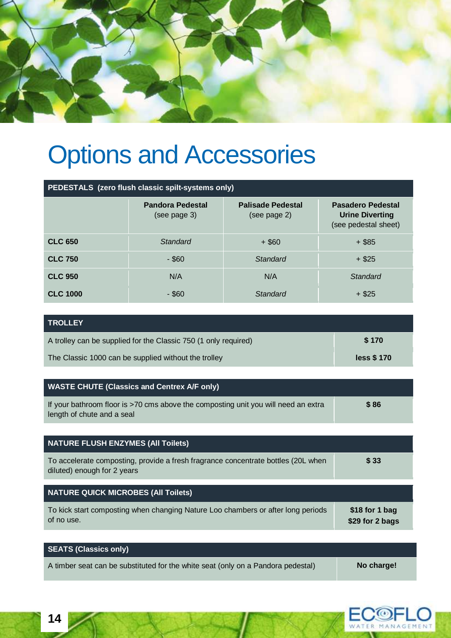

# Options and Accessories

|                 | PEDESTALS (zero flush classic spilt-systems only) |                                          |                                                                            |
|-----------------|---------------------------------------------------|------------------------------------------|----------------------------------------------------------------------------|
|                 | <b>Pandora Pedestal</b><br>(see page 3)           | <b>Palisade Pedestal</b><br>(see page 2) | <b>Pasadero Pedestal</b><br><b>Urine Diverting</b><br>(see pedestal sheet) |
| <b>CLC 650</b>  | Standard                                          | $+$ \$60                                 | $+$ \$85                                                                   |
| <b>CLC 750</b>  | $-$ \$60                                          | Standard                                 | $+$ \$25                                                                   |
| <b>CLC 950</b>  | N/A                                               | N/A                                      | Standard                                                                   |
| <b>CLC 1000</b> | $-$ \$60                                          | Standard                                 | $+$ \$25                                                                   |

| <b>TROLLEY</b>                                                  |             |
|-----------------------------------------------------------------|-------------|
| A trolley can be supplied for the Classic 750 (1 only required) | \$170       |
| The Classic 1000 can be supplied without the trolley            | less \$ 170 |

| <b>WASTE CHUTE (Classics and Centrex A/F only)</b>                                                               |      |
|------------------------------------------------------------------------------------------------------------------|------|
| If your bathroom floor is >70 cms above the composting unit you will need an extra<br>length of chute and a seal | \$86 |
|                                                                                                                  |      |
| <b>NATURE FLUSH ENZYMES (All Toilets)</b>                                                                        |      |
| To accelerate composting, provide a fresh fragrance concentrate bottles (20L when<br>diluted) enough for 2 years | \$33 |

| NATURE QUICK MICROBES (All Toilets)                                              |                 |
|----------------------------------------------------------------------------------|-----------------|
| To kick start composting when changing Nature Loo chambers or after long periods | \$18 for 1 bag  |
| of no use.                                                                       | \$29 for 2 bags |

| <b>SEATS (Classics only)</b>                                                     |            |
|----------------------------------------------------------------------------------|------------|
| A timber seat can be substituted for the white seat (only on a Pandora pedestal) | No charge! |



**14**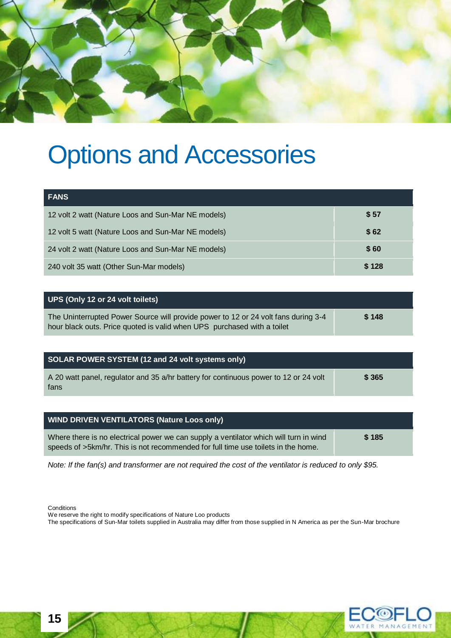

# Options and Accessories

| <b>FANS</b>                                        |       |
|----------------------------------------------------|-------|
| 12 volt 2 watt (Nature Loos and Sun-Mar NE models) | \$ 57 |
| 12 volt 5 watt (Nature Loos and Sun-Mar NE models) | \$62  |
| 24 volt 2 watt (Nature Loos and Sun-Mar NE models) | \$ 60 |
| 240 volt 35 watt (Other Sun-Mar models)            | \$128 |

| UPS (Only 12 or 24 volt toilets)                                                                                                                              |       |
|---------------------------------------------------------------------------------------------------------------------------------------------------------------|-------|
| The Uninterrupted Power Source will provide power to 12 or 24 volt fans during 3-4<br>hour black outs. Price quoted is valid when UPS purchased with a toilet | \$148 |

| SOLAR POWER SYSTEM (12 and 24 volt systems only)                                             |        |
|----------------------------------------------------------------------------------------------|--------|
| A 20 watt panel, regulator and 35 a/hr battery for continuous power to 12 or 24 volt<br>fans | \$ 365 |

| <b>WIND DRIVEN VENTILATORS (Nature Loos only)</b>                                                                                                                          |       |
|----------------------------------------------------------------------------------------------------------------------------------------------------------------------------|-------|
| Where there is no electrical power we can supply a ventilator which will turn in wind<br>speeds of >5km/hr. This is not recommended for full time use toilets in the home. | \$185 |

*Note: If the fan(s) and transformer are not required the cost of the ventilator is reduced to only \$95.*

**Conditions** 

We reserve the right to modify specifications of Nature Loo products

The specifications of Sun-Mar toilets supplied in Australia may differ from those supplied in N America as per the Sun-Mar brochure



**15**